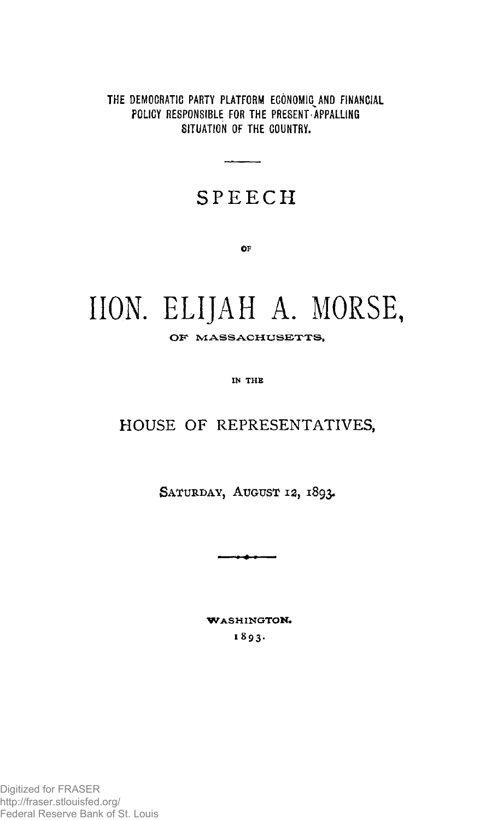THE DEMOCRATIC PARTY PLATFORM ECONOMIC AND FINANCIAL POLICY RESPONSIBLE FOR THE PRESENT APPALLING SITUATION OF THE COUNTRY.

## **SPEEC H**

**OF** 

# **HON. ELIJAH A. MORSE,**

OF MASSACHUSETTS,

IN THE

## **HOUSE OF REPRESENTATIVES,**

**SATURDAY, AUGUST 12, 1893.** 

**WASHINGTON. 1893 .**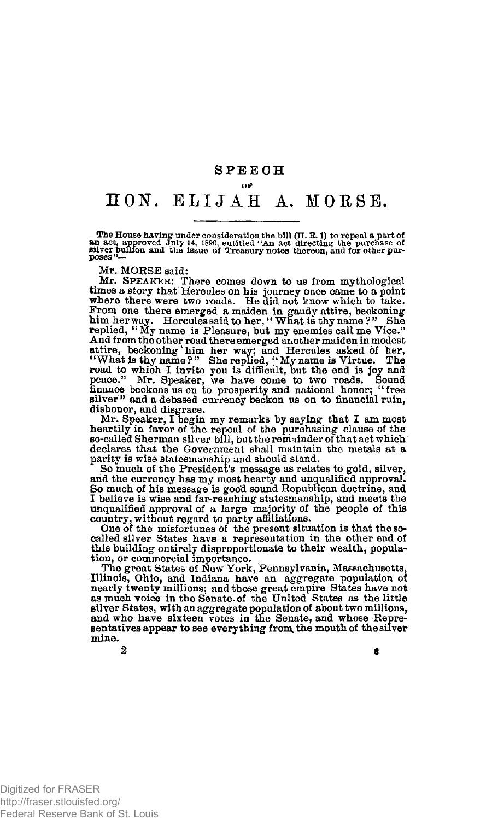### **SPEEC H**  OF

## **HON". ELIJA H A. MORSE.**

The House having under consideration the bill (H. R. 1) to repeal a part of<br>an act, approved July 14, 1890, entitled "An act directing the purchase of<br>silver builion and the issue of Treasury notes thereon, and for other

Mr. MORSE said:

Mr. **SPEAKER**: There comes down to us from mythological times a story that Hercules on his journey once came to a point where there were two roads. He did not know which to take. From one there emerged a maiden in gaudy attire, beckoning<br>him herway. Hercules said to her, "What is thy name?" She<br>replied, "My name is Pleasure, but my enemies call me Vice." And from the other road there emerged another maiden in modest<br>attire, beckoning 'him her way; and Hercules asked of her,<br>"What is thy name?" She replied, "My name is Virtue. The<br>road to which I invite you is difficult, b dishonor, and disgrace.

Mr. Speaker, I begin my remarks by saying that I am most heartily in favor of the repeal of the purchasing clause of the so-called Sherman silver bill, but the remainder of that act which declares that the Government shall maintain the metals at a parity is wise statesmanship and should stand.

So much of the President's message as relates to gold, silver, and the currency has my most hearty and unqualified approval. So much of his message is good sound Republican doctrine, and I believe is wise and far-reaching statesmanship, and meets the unqualified approval of a large majority of the people of this country, without regard to party affiliations.

One of the misfortunes of the present situation is that the socalled silver States have a representation in the other end of this building **entirety** disproportionate to their wealth, popula-

tion, or commercial importance. The great States of New York, Pennsylvania, Massachusetts, Illinois, Ohio, and Indiana have an aggregate population of nearly twenty millions; and these great empire States have not as much voice in the Senate, of the United States as the little silver States, with an aggregate population of about two millions, and who have sixteen votes in the Senate, and whose Representatives appear to see everything from, the mouth of the silver mine.

 $2$  6 and 5 and 6 and 6 and 6 and 6 and 6 and 6 and 6 and 6 and 6 and 6 and 6 and 6 and 6 and 6 and 6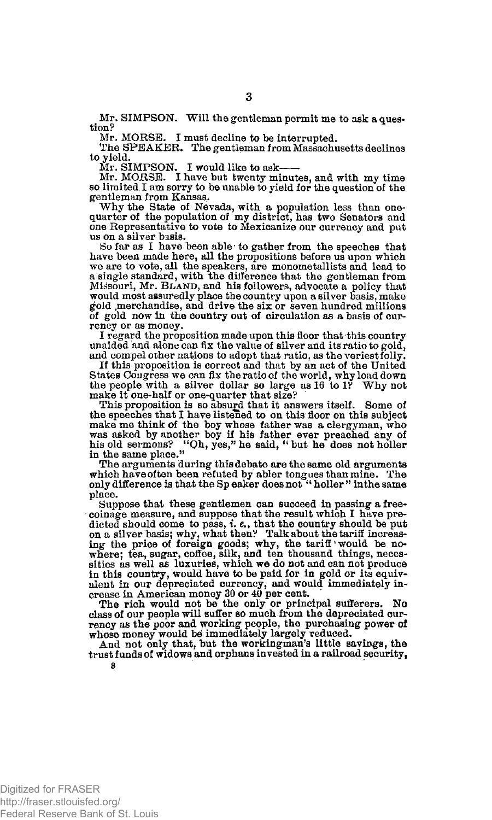Mr. MORSE. I must decline to be interrupted.

The SPEAKER. The gentleman from Massachusetts declines to yield.

Mr. SIMPSON. I would like to ask

Mr. MORSE. I have but twenty minutes, and with my time so limited I am sorry to be unable to yield for the question of the gentleman from Kansas.

Why the State of Nevada, with a population less than one-quarter of the population of my district, has two Senators and one Representative to vote to Mexicanize our currency and put us on a silver basis.

So far as I have been able • to gather from the speeches that have been made here, all the propositions before us upon which we are to vote, all the speakers, are monometallists and lead to a single standard, with the difference that the gentleman from Missouri, Mr. **BLAND**, and his followers, advocate a policy that would most assuredly place the country upon a silver fiasis, make gold ,merchandise, and drive the six or seven hundred millions of gold now in the country out of circulation as a basis of currency or as money.

I regard the proposition made upon this floor that this country unaided and alone can fix the value of silver and its ratio to gold, and compel other nations to adopt that ratio, as the veriest folly.

If this proposition is correct and that by an act of the United States Congress we can fix the ratio of the world, why load down the people with a silver dollar so large as 16 to IV Why not make it one-half or one-quarter that size?

This proposition is so absurd that it answers itself . Some of the speeches that I have listened to on this floor on this subject make me think of the boy whose father was a clergyman, who was asked by another boy if his father ever preached any of his old sermons? "Oh, yes," he said, " but he does not holler in the same place."

The arguments during this debate are the same old arguments which have often been refuted by abler tongues than mine. The only difference is that the Sp eaker does not "holler "in the same place.

Suppose that these gentlemen can succeed in passing a freecoinage measure, and suppose that the result which I have predicted should come to pass, *i. e.*, that the country should be put on a silver basis; why, what then? Talk about the tariff increasing the price of foreign goods; why, the tariff would be nowhere: tea, sugar, coffee, silk, and ten thousand things, necessities as well as luxuries, which we do not and can not produce in this country, would have to be paid for in gold or its equiv-alent in our depreciated currency, and would immediately in-crease in American money 30 or 40 per cent.

The rich would not be the only or principal sufferers. No class of our people will suffer so much from the depreciated currency as the poor and working people, the purchasing power of whose money would be immediately largely reduced.<br>And not only that, but the workingman's little savings, the

trust funds of widows and orphans invested in a railroad security, **8** 

Mr. SIMPSON. Will the gentleman permit me to ask a question?

Digitized for FRASER http://fraser.stlouisfed.org/ Federal Reserve Bank of St. Louis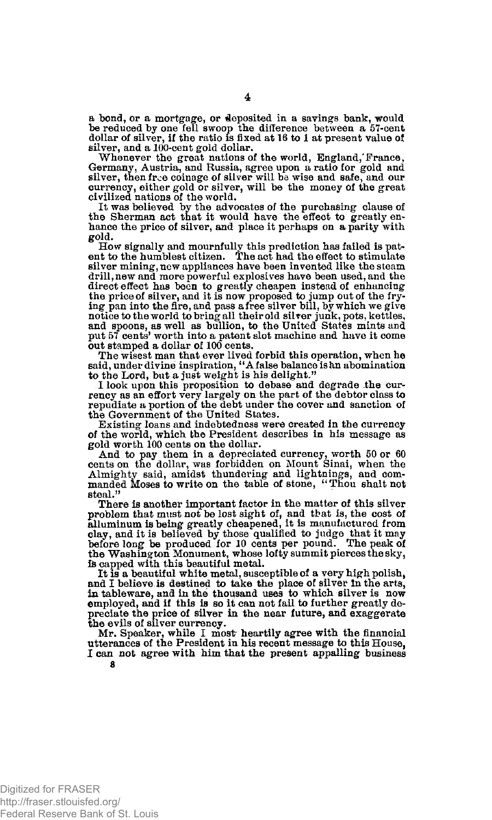a bond, or a mortgage, or deposited in a savings bank, would be reduced by one fell swoop the difference between a 57-cent dollar of silver, if the ratio is fixed at 16 to 1 at present value of silver, and a 100-cent gold dollar.

Whenever the great nations of the world, England,'France, Germany, Austria, and Russia, agree upon a ratio for gold and silver, then free coinage of silver will be wise and safe, and our currency, either gold or silver, will be the money of the great civilized nations of the world.

It was believed by the advocates of the purchasing clause of the Sherman act that it would have the effect to greatly enhance the price of silver, and place it perhaps on a parity with gold.

 $\bar{\phantom{a}}$  How signally and mournfully this prediction has failed is pat-<br>ent to the humblest citizen. The act had the effect to stimulate silver mining, new appliances have been invented like the steam drill, new and more powerful explosives have been used, and the direct effect has been to greatly cheapen instead of enhancing<br>the price of silver, and it is now proposed to jump out of the fry-<br>ing pan into the fire, and pass afree silver bill, by which we give<br>notice to the world to out stamped a dollar of 100 cents.

The wisest man that ever lived forbid this operation, when he said, under divine inspiration, " A false balance iskn abomination to the Lord, but a just weight is his delight."

I look upon this proposition to debase and degrade the currency as an effort very largely on the part of the debtor class to repudiate a portion of the debt under the cover and sanction of the Government of the United States.

Existing loans and indebtedness were created in the currency of the world, which the President describes in his message as gold worth 100 cents on the dollar.

And to pay them in a depreciated currency, worth 50 or 60 cents on the dollar, was forbidden on Mount Sinai, when the Almighty said, amidden pay and commanded Mosses to write on the table of stone, "Thou shalt not steal."

There is another important factor in the matter of this silver problem that must not be lost sight of, and that is, the cost of alluminum is being greatly cheapened, it is manufactured from<br>clay, and it is believed by those qualified to judge that it may<br>before long be produced for 10 the Washington Monument, whose lofty summit pierces the sky, fe capped with this beautiful metal.

It is a beautiful white metal, susceptible of a very high polish, and I believe is destined to take the place of silver In the arts, in tableware, and in the thousand uses to which silver is now employed, and if this is so it can not fail to further greatly depreciate the price of silver in the near future, and exaggerate the evils of silver currency.

Mr. Speaker, while I most heartily agree with the financial utterances of the President in his recent message to this House, I can not agree with him that the present appalling business 8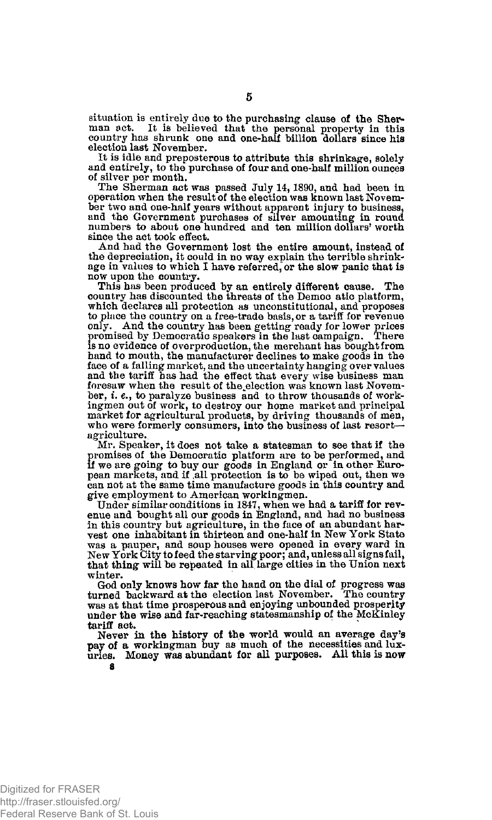situation is entirely due to the purchasing clause of the Sherman set. It is believed that the personal property in this country has shrunk one and one-half billion dollars since his election last November.

It is idle and preposterous to attribute this shrinkage, solely and entirely, to the purchase of four and one-half million ounces of silver per month.

The Sherman act was passed July 14,1890, and had been in operation when the result of the election was known last November two and one-half years without apparent injury to business, and the Government purchases of silver amounting in round numbers to about one hundred and ten million dollars' worth since the act took effect.

And had the Government lost the entire amount, instead of the depreciation, it could in no way explain the terrible shrinkage in values to which I have referred, or the slow panic that is now upon the country.

This has been produced by an entirely different cause. The country has discounted the threats of the Democ atic platform, which declares all protection as unconstitutional, and proposes to place the country on a free-trade basis, or a tariff for revenue only. And the country has been getting ready for lower prices promised by Democratic speakers in the last campaign. There promised by Democratic speakers in the last campaign. There is no evidence of overproduction, the merchant has bought from hand to mouth, the manufacturer declines to make goods in the face of a falling market, and the uncertainty hanging overvalues and the tariff has had the effect that every wise business man foresaw when the result of the election was known last November, i. e., to paralyze business and to throw thousands of workingmen out of work, to destroy our home market and principal market for agricultural products, by driving thousands of men, who were formerly consumers, into the business of last resort agriculture.

Mr. Speaker, it does not take a statesman to see that if the promises of the Democratic platform are to be performed, and if we are going to buy our goods in England or in other European markets, and if .all protection is to be wiped out, then we can not at the same time manufacture goods in this country and give employment to American workingmen.

Under similar conditions in 1847, when we had a tariff for revenue and bought all our goods in England, and had no business in this country but agriculture, in the face of an abundant harvest one inhabitant in thirteen and one-half in New York State was a pauper, and soup houses were opened in every ward in New York City to feed the starving poor; and, unless all signs fail, that thing will be repeated in all large cities in the Union next winter.

God only knows how far the hand on the dial of progress was turned backward at the election last November. The country was at that time prosperous and enjoying unbounded prosperity under the wise and far-reaching statesmanship of the McKinley tariff act.

Never in the history of the world would an average day's pay of a workingman buy as much of the necessities and luxuries. Money was abundant for all purposes. All this is now **8**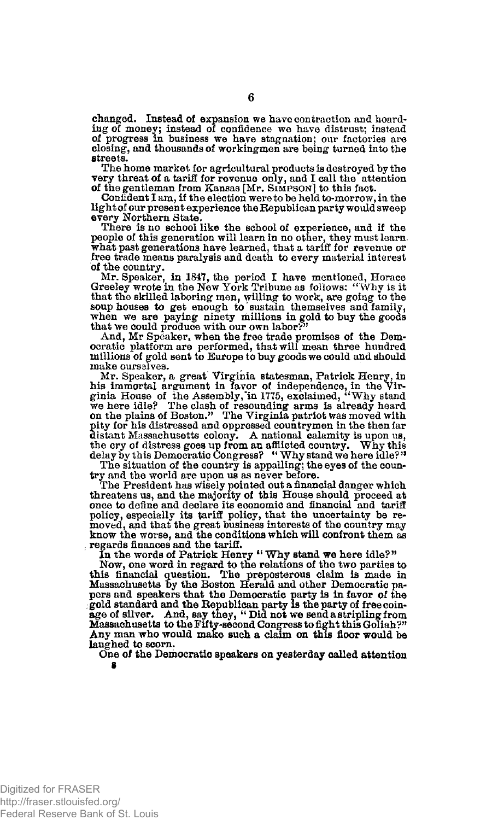changed. Instead of expansion we have contraction and hoarding of money; instead of confidence we have distrust; instead of progress in business we have stagnation; our factories are closing, and thousands of workingmen are being turned into the streets.

The home market for agricultural products is destroyed by the very threat of a tariff for revenue only, and I call the attention of the gentleman from Kansas [Mr. **SIMPSON**] to this fact.

Confident I am, if the election were to be held to-morrow, in the light of our present experience the Republican party would sweep every Northern State.

There is no school like the school of experience, and if the people of this generation will learn in no other, they must learn, what past generations have learned, that a tariff for revenue or free trade means paralysis and death to every material interest of the country.

Mr. Speaker, in 184?, the period I have mentioned, Horace Greeley wrote in the New York Tribune as follows: "Why is it that the skilled laboring men, willing to work, are going to the soup houses to get enough to sustain themselves and family, when we are paying ninety millions in gold to buy the goods that we could produce with our own labor?"

And, Mr Speaker, when the free trade promises of the Dem-ocratic platform are performed, that will mean three hundred millions of gold sent to Europe to buy goods we could and should make ourselves.

Mr. Speaker, a great Virginia statesman, Patrick Henry, in<br>his immortal argument in favor of independence, in the Virginia House of the Assembly, in 1775, exclaimed, "Why stand<br>we here idle? The clash of resounding arms is pity for his distressed and oppressed countrymen in the then far distant Massachusetts colony. A national calamity is upon us, the cry of distress goes up from an afflicted country. Why this  $\text{delay by this Demoncratic Congress}$  "Why stand we here idle?"<br>The situation of the country is appalling; the eyes of

try and the world are upon us as never before. The President has wisely pointed out a financial danger which threatens us, and the majority of this House should proceed at once to define and declare its economic and financial and tariff policy, especially its tariff policy, that the uncertainty be re-moved, and that the great business interests of the country may know the worse, and the conditions which will confront them as regards finances and the tariff.

In the words of Patrick Henry " Why stand we here idle?"

Now, one word in regard to the relations of the two parties to this financial question. The preposterous claim is made in Massachusetts by the Boston Herald and other Democratic papers and speakers that the Democratic party is in favor of the gold standard and the Republican party is the party of free coin-age of silver. And, say they, "Did not we send a stripling from<br>age of silver. And, say they, Any man who would make such a claim on this floor would be laughed to scorn.

One of the Democratic speakers on yesterday oalled attention **8**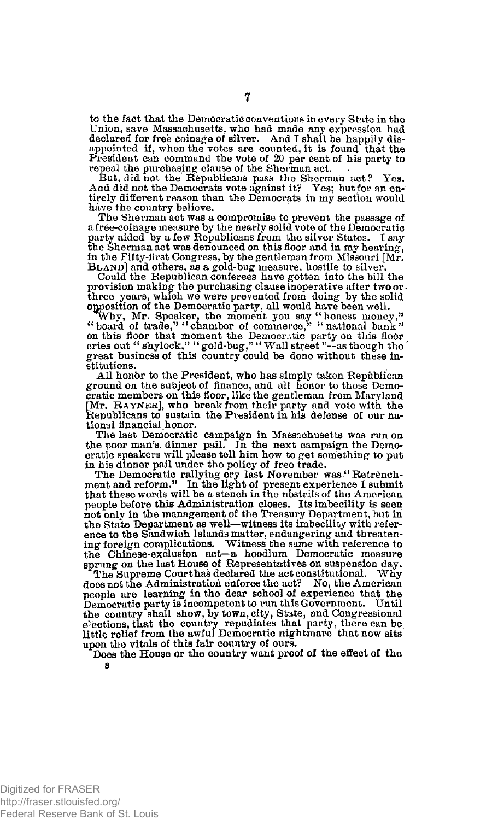*to* the fact that the Democratic conventions in every State in the Union, save Massachusetts, who had made any expression had declared for free coinage of silver. And I shall be happily disappointed if, when the votes are counted, it is found that the President can command the vote of 20 per cent of his party to repeal the purchasing clause of the Sherman act.

But, did not the Republicans pass the Sherman act ? Yes. And did not the Democrats vote against it? Yes; but for an entirely different reason than the Democrats in my section would have the country believe.

The Sherman act was a compromise to prevent the passage of a free-coinage measure by the nearly solid vote of the Democratic party aided by a few Republicans from the silver States. I say the Sherman act was denounced on this floor and in my hearing, in the Fifty-first Congress, by the gentleman from Missouri [Mr. **BLAND**] and others, as a gold-bug measure, hostile to silver. Could the Republican conferees have gotten into the bill the

provision making the purchasing clause inoperative after two or  $\cdot$ three years, which we were prevented from doing by the solid opposition of the Democratic party, all would have been well.<br>Why, Mr. Speaker, the moment you say "honest money,"<br>"board of trade," "chamber of commerce," "nati

on this floor that moment the Democratic party on this floor cries out "shylock," "gold-bug," "Wall street "--as though the great business of this country could be done without these institutions.

All honbr to the President, who has simply taken Republican ground on the subject of finance, and all honor to those Democratic members on this floor, like the gentleman from Maryland [Mr. **RAYNER**], who break from their party and vote with the Republicans to sustain the President in his defense of our national financial honor.

The last Democratic campaign in Massachusetts was run on the poor man's, dinner pail. In the next campaign the Democratic speakers will please tell him how to get something to put in his dinner pail under the policy of free trade.

The Democratic rallying cry last November was " Retrench-ment and reform." In the light of present experience I submit that these words will be a stench in the nbstrils of the American people before this Administration closes. Its imbecility is seen not only in the management of the Treasury Department, but in the State Department as well—witness its imbecility with refer-ence to the Sandwich Islands matter, endangering and threatening foreign complications. Witness the same with reference to the Chinese-exclusion act—a hoodlum Democratic measure sprung on the last House of Representatives on suspension day.

The Supreme Court has declared the act constitutional. Why does not the Administration enforce the act? No, the American people are learning in the dear school of experience that the Democratic party is incompetent to run this Government. Until the country shall show, by town, city, State, and Congressional elections, that the country repudiates that party, there can be little relief from the awful Democratic nightmare that now sits upon the vitals of this fair country of ours.

Does the House or the country want proof of the effect of the **8**